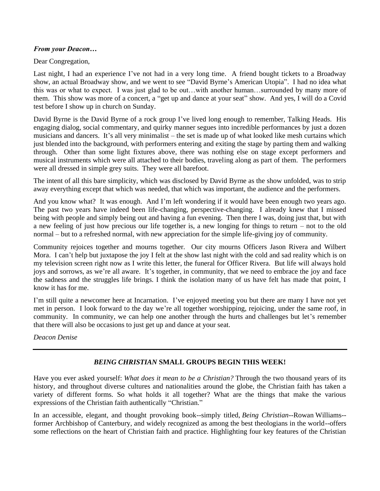## *From your Deacon…*

## Dear Congregation,

Last night, I had an experience I've not had in a very long time. A friend bought tickets to a Broadway show, an actual Broadway show, and we went to see "David Byrne's American Utopia". I had no idea what this was or what to expect. I was just glad to be out…with another human…surrounded by many more of them. This show was more of a concert, a "get up and dance at your seat" show. And yes, I will do a Covid test before I show up in church on Sunday.

David Byrne is the David Byrne of a rock group I've lived long enough to remember, Talking Heads. His engaging dialog, social commentary, and quirky manner segues into incredible performances by just a dozen musicians and dancers. It's all very minimalist – the set is made up of what looked like mesh curtains which just blended into the background, with performers entering and exiting the stage by parting them and walking through. Other than some light fixtures above, there was nothing else on stage except performers and musical instruments which were all attached to their bodies, traveling along as part of them. The performers were all dressed in simple grey suits. They were all barefoot.

The intent of all this bare simplicity, which was disclosed by David Byrne as the show unfolded, was to strip away everything except that which was needed, that which was important, the audience and the performers.

And you know what? It was enough. And I'm left wondering if it would have been enough two years ago. The past two years have indeed been life-changing, perspective-changing. I already knew that I missed being with people and simply being out and having a fun evening. Then there I was, doing just that, but with a new feeling of just how precious our life together is, a new longing for things to return – not to the old normal – but to a refreshed normal, with new appreciation for the simple life-giving joy of community.

Community rejoices together and mourns together. Our city mourns Officers Jason Rivera and Wilbert Mora. I can't help but juxtapose the joy I felt at the show last night with the cold and sad reality which is on my television screen right now as I write this letter, the funeral for Officer Rivera. But life will always hold joys and sorrows, as we're all aware. It's together, in community, that we need to embrace the joy and face the sadness and the struggles life brings. I think the isolation many of us have felt has made that point, I know it has for me.

I'm still quite a newcomer here at Incarnation. I've enjoyed meeting you but there are many I have not yet met in person. I look forward to the day we're all together worshipping, rejoicing, under the same roof, in community. In community, we can help one another through the hurts and challenges but let's remember that there will also be occasions to just get up and dance at your seat.

*Deacon Denise*

# *BEING CHRISTIAN* **SMALL GROUPS BEGIN THIS WEEK!**

Have you ever asked yourself: *What does it mean to be a Christian?* Through the two thousand years of its history, and throughout diverse cultures and nationalities around the globe, the Christian faith has taken a variety of different forms. So what holds it all together? What are the things that make the various expressions of the Christian faith authentically "Christian."

In an accessible, elegant, and thought provoking book--simply titled, *Being Christian*--Rowan Williams- former Archbishop of Canterbury, and widely recognized as among the best theologians in the world--offers some reflections on the heart of Christian faith and practice. Highlighting four key features of the Christian